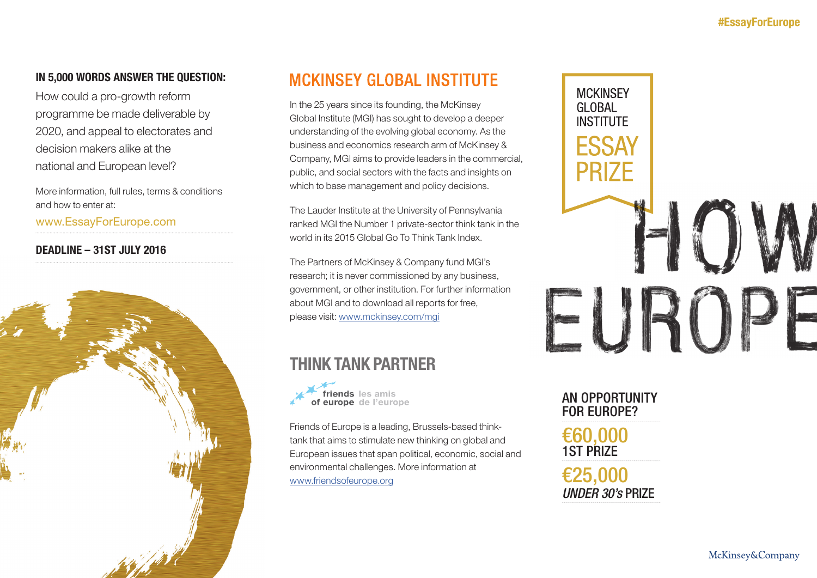## IN 5,000 WORDS ANSWER THE QUESTION:

How could a pro-growth reform programme be made deliverable by 2020, and appeal to electorates and decision makers alike at the national and European level?

More information, full rules, terms & conditions and how to enter at:

www.EssayForEurope.com

DEADLINE – 31ST JULY 2016



## **MCKINSEY GLOBAL INSTITUTE**

In the 25 years since its founding, the McKinsey Global Institute (MGI) has sought to develop a deeper understanding of the evolving global economy. As the business and economics research arm of McKinsey & Company, MGI aims to provide leaders in the commercial, public, and social sectors with the facts and insights on which to base management and policy decisions.

The Lauder Institute at the University of Pennsylvania ranked MGI the Number 1 private-sector think tank in the world in its 2015 Global Go To Think Tank Index.

The Partners of McKinsey & Company fund MGI's research; it is never commissioned by any business, government, or other institution. For further information about MGI and to download all reports for free, please visit: www.mckinsey.com/mgi

## THINK TANK PARTNER



Friends of Europe is a leading, Brussels-based thinktank that aims to stimulate new thinking on global and European issues that span political, economic, social and environmental challenges. More information at www.friendsofeurope.org



## AN OPPORTUNITY FOR EUROPE?

€60,000 1ST PRIZE

€25,000 *UNDER 30's* PRIZE